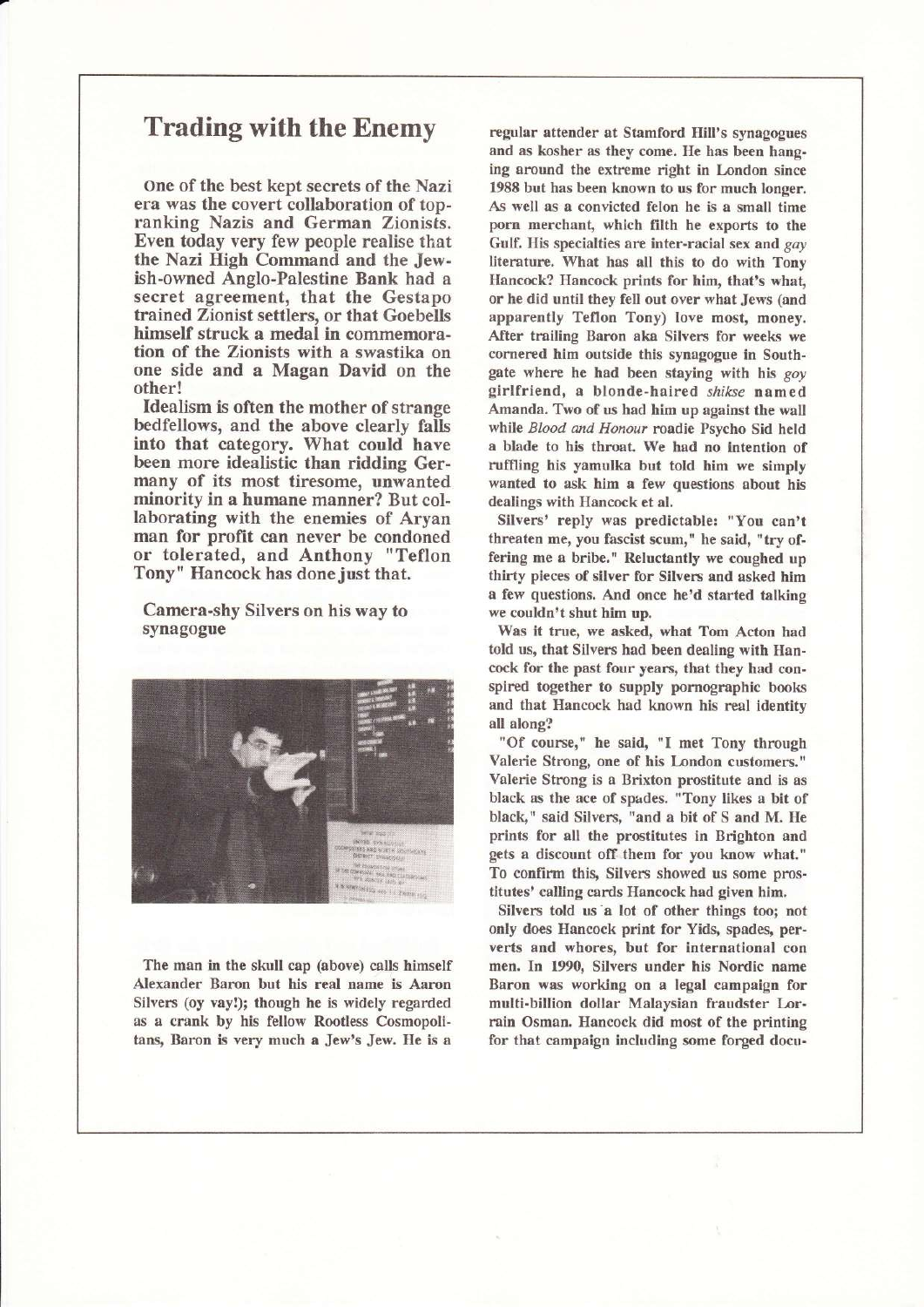## Trading with the Enemy

one of the best kept secrets of the Nazi era was the covert collaboration of topranking Nazis and German Zionists. Even today very few people realise that the Nazi High Command and the Jewish-owned Anglo-Palestine Bank had a secret agreement, that the Gestapo trained Zionist settlers, or that Goebells himself struck a medal in commemoration of the Zionists with a swastika on one side and a Magan David on the other!

Idealism is often the mother of strange bedfellows, and the above clearly falls into that category. What could have been more idealistic than ridding Germany of its most tiresome, unwanted minority in a humane manner? But collaborating with the enemies of Aryan man for profit can never be condoned or tolerated, and Anthony "Teflon Tony" Hancock has done just that.

Camera-shy Silvers on his way to synagogue



The man in the skull cap (above) calls himself Alexander Baron but his real name is Aaron Silvers (oy vay!); though he is widely regarded as a crank by his fellow Rootless Cosmopolitans, Baron is very much a Jew's Jew. He is a

regular attender at Stamford Hill's synagogues and as kosher as they come. He has been hanging around the extreme right in London since 1988 but has been known to us for much longer. As well as a convicted felon he is a small time porn merchant, which filth he exports to the Gulf. His specialties are inter-racial sex and gay literature. What has all this to do with Tony Hancock? Hancock prints for him, that's whaf or he did until they fell out over what Jews (and apparently Teflon Tony) Iove most, money. After trailing Baron aka Silvers for weeks we cornered him outside this synagogue in Southgate where he had been staying with his goy girlfriend, a blonde-haired shikse named Amanda. Two of us had him up against the wall while Blood and Honour roadie Psycho Sid held a blade to his throat. We had no intention of ruffling his yamulka but told him we simply wanted to ask him a few questions about his dealings with Hancock et al.

Silvers' reply was predictable: "You can't threaten me, you fascist scum," he said, "try offering me a bribe." Reluctantly we coughed up thirty pieces of silver for Silvers and asked him a few questions. And once he'd started talking we couldn't shut him up.

Was it true, we asked, what Tom Acton had told us, that Silvers had been dealing with Hancock for the past four years, that they had conspired together to supply pornographic books and that Hancock had known his real identity all along?

"Of course," he said, "I met Tony through Valerie Strong, one of his London customers." Valerie Strong is a Brixton prostitute and is as black as the ace of spades. "Tony likes a bit of black," said Silvers, "and a bit of S and M. He prints for all the prostitutes in Brighton and gets a discount off them for you know what." To confirm this, Silvers showed us some prostitutes' calling cards Hancock had given him.

Silvers told us"a lot of other things too; not only does Hancock print for Yids, spades, perverts and whores, but for international con men. In 1990, Silvers under his Nordic name Baron was working on a legal campaign for multi-billion dollar Malaysian fraudster Lorrain Osman. Hancock did most of the printing for that campaign including some forged docu